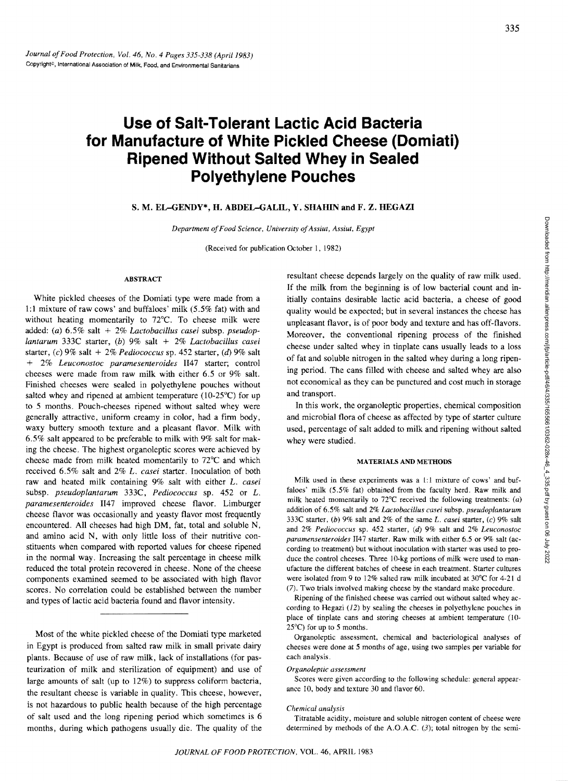# **Use of Salt-Tolerant Lactic Acid Bacteria for Manufacture of White Pickled Cheese (Domiati) Ripened Without Salted Whey in Sealed Polyethylene Pouches**

## S. M. EL-GENDY\*, H. ABDEL-GALIL, Y. SHAHIN and F. Z. HEGAZI

*Department of Food Science, University of Assiut, Assiut, Egypt* 

(Received for publication October I, 1982)

#### ABSTRACT

White pickled cheeses of the Domiati type were made from a 1:1 mixture of raw cows' and buffaloes' milk (5.5% fat) with and without heating momentarily to 72°C. To cheese milk were added: *(a)* 6.5% salt + 2% *Lactobacillus casei* subsp. *pseudoplantarum* 333C starter, *(b)* 9% salt + 2% *Lactobacillus casei*  starter, *(c)* 9% salt + 2% *Pediococcus* sp. 452 starter, (d) 9% salt + 2% *Leuconostoc paramesenteroides* II47 starter; control cheeses were made from raw milk with either 6.5 or 9% salt. Finished cheeses were sealed in polyethylene pouches without salted whey and ripened at ambient temperature (10-25°C) for up to 5 months. Poueh-cheeses ripened without salted whey were generally attractive, uniform creamy in color, had a firm body, waxy buttery smooth texture and a pleasant flavor. Milk with 6.5% salt appeared to be preferable to milk with 9% salt for making the cheese. The highest organoleptic scores were achieved by cheese made from milk heated momentarily to 72°C and which received 6.5% salt and 2% *L. casei* starter. Inoculation of both raw and heated milk containing 9% salt with either *L. casel*  subsp. *pseudoplantarum* 333C, *Pediococcus* sp. 452 or *L. paramesenteroides* II47 improved cheese flavor. Limburger cheese flavor was occasionally and yeasty flavor most frequently encountered. All cheeses had high DM, fat, total and soluble N, and amino acid N, with only little loss of their nutritive constituents when compared with reported values for cheese ripened in the normal way. Increasing the salt percentage in cheese milk reduced the total protein recovered in cheese. None of the cheese components examined seemed to be associated with high flavor scores. No correlation could be established between the number and types of lactic acid bacteria found and flavor intensity.

Most of the white pickled cheese of the Domiati type marketed in Egypt is produeed from salted raw milk in small private dairy plants. Because of use of raw milk, lack of installations (for pasteurization of milk and sterilization of equipment) and use of large amounts of salt (up to 12%) to suppress coliform bacteria, the resultant cheese is variable in quality. This cheese, however, is not hazardous to public health because of the high percentage of salt used and the long ripening period which sometimes is 6 months, during which pathogens usually die. The quality of the

resultant cheese depends largely on the quality of raw milk used. If the milk from the beginning is of low bacterial eount and initially contains desirable lactic acid bacteria, a cheese of good quality would be expected; but in several instances the cheese has unpleasant flavor, is of poor body and texture and has off-flavors. Moreover, the conventional ripening process of the finished cheese under salted whey in tinplate cans usually leads to a loss of fat and soluble nitrogen in the salted whey during a long ripening period. The cans filled with cheese and salted whey are also not economical as they can be punctured and cost much in storage and transport.

In this work, the organoleptic properties, chemical composition and microbial flora of cheese as affected by type of starter culture used, percentage of salt added to milk and ripening without saIted whey were studied.

#### MATERIALS AND METHODS

Milk used in these experiments was a 1:1 mixture of cows' and buffaloes' milk (5.5% fat) obtained from the faculty herd. Raw milk and milk heated momentarily to  $72^{\circ}$ C received the following treatments: (a) addition of 6.5% salt and 2% *Lactobacillus casei* subsp. *pseudoplantarum*  333C starter, *(b)* 9% salt and 2% of the same L *casei* starter, *(c)* 9% salt and 2% *Pediococcus* sp. 452 starter, (d) 9% salt and 2% *Leuconostoc paramensenteroides* II47 starter. Raw milk with either 6.5 or 9% salt (according to treatment) but without inoculation with starter was used to produce the control cheeses. Three 10-kg portions of milk were used to manufacture the different batches of cheese in each treatment. Starter cultures were isolated from 9 to 12% salted raw milk incubated at 30°C for 4-21 d (7). Two trials involved making cheese by the standard make procedure.

Ripening of the finished cheese was carried out without salted whey according to Hegazi  $(12)$  by sealing the cheeses in polyethylene pouches in place of tinplate cans and storing cheeses at ambient temperature (10-  $25^{\circ}$ C) for up to 5 months.

Organoleptic assessment, chemical and bacteriological analyses of cheeses were done at 5 months of age, using two samples per variable for each analysis.

#### *Organoleptic assessment*

Scores were given according to the following schedule: general appearance 10, body and texture 30 and flavor 60.

#### *Chemical analysis*

Titratable acidity, moisture and soluble nitrogen content of cheese were determined by methods of the A.O.A.C.  $(3)$ ; total nitrogen by the semi-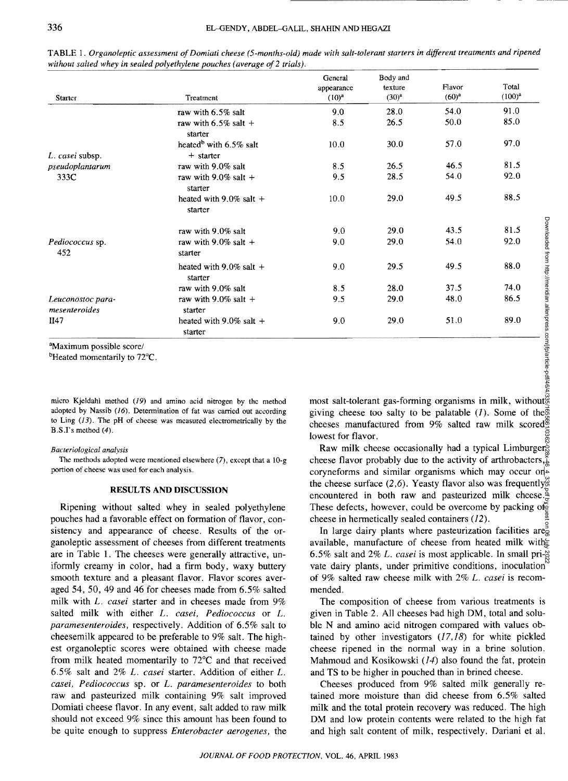| <b>Starter</b>                     | Treatment                             | General<br>appearance<br>$(10)^{a}$ | Body and<br>texture<br>$(30)^{a}$ | Flavor<br>$(60)^{a}$ | Total<br>$(100)^{a}$ |
|------------------------------------|---------------------------------------|-------------------------------------|-----------------------------------|----------------------|----------------------|
|                                    | raw with $6.5\%$ salt                 | 9.0                                 | 28.0                              | 54.0                 | 91.0                 |
|                                    | raw with $6.5\%$ salt +               | 8.5                                 | 26.5                              | 50.0                 | 85.0                 |
|                                    | starter                               |                                     |                                   |                      |                      |
|                                    | heated <sup>b</sup> with $6.5\%$ salt | 10.0                                | 30.0                              | 57.0                 | 97.0                 |
| L. casei subsp.                    | $+$ starter                           |                                     |                                   |                      |                      |
| pseudoplantarum                    | raw with 9.0% salt                    | 8.5                                 | 26.5                              | 46.5                 | 81.5                 |
| 333C                               | raw with 9.0% salt $+$<br>starter     | 9.5                                 | 28.5                              | 54.0                 | 92.0                 |
|                                    | heated with 9.0% salt $+$<br>starter  | 10.0                                | 29.0                              | 49.5                 | 88.5                 |
|                                    | raw with 9.0% salt                    | 9.0                                 | 29.0                              | 43.5                 | 81.5                 |
| <i>Pediococcus</i> sp.<br>452      | raw with 9.0% salt $+$<br>starter     | 9.0                                 | 29.0                              | 54.0                 | 92.0                 |
|                                    | heated with 9.0% salt $+$<br>starter  | 9.0                                 | 29.5                              | 49.5                 | 88.0                 |
|                                    | raw with 9.0% salt                    | 8.5                                 | 28.0                              | 37.5                 | 74.0                 |
| Leuconostoc para-<br>mesenteroides | raw with 9.0% salt $+$<br>starter     | 9.5                                 | 29.0                              | 48.0                 | 86.5                 |
| II47                               | heated with 9.0% salt $+$<br>starter  | 9.0                                 | 29.0                              | 51.0                 | 89.0                 |

TABLE 1. *Organoleptic assessment of Domiati cheese (5-months-old) made with salt-tolerant starters in different treatments and ripened*  without salted whey in sealed polyethylene pouches (average of 2 trials).

<sup>a</sup>Maximum possible score/

 $b$ Heated momentarily to  $72^{\circ}$ C.

micro Kjeldahl method (19) and amino acid nitrogen by the method adopted by Nassib (16). Determination of fat was carried out according to Ling (13). The pH of cheese was measured electrometrically by the B.S.I's method (4).

#### *Bacteriological analysis*

The methods adopted were mentioned elsewhere  $(7)$ , except that a  $10-g$ portion of cheese was used for each analysis.

### RESULTS AND DISCUSSION

Ripening without salted whey in sealed polyethylene pouches had a favorable effect on formation of flavor, consistency and appearance of cheese. Results of the organoleptic assessment of cheeses from different treatments are in Table 1. The cheeses were generally attractive, uniformly creamy in color, had a firm body, waxy buttery smooth texture and a pleasant flavor. Flavor scores averaged 54, 50, 49 and 46 for cheeses made from 6.5% salted milk with *L. casei* starter and in cheeses made from 9% salted milk with either *L. casei, Pediococcus* or *L. paramesenteroides,* respectively. Addition of 6.5% salt to cheesemilk appeared to be preferable to 9% salt. The highest organoleptic scores were obtained with cheese made from milk heated momentarily to 72°C and that received 6.5% salt and 2% *1.. casei* starter. Addition of either *1.. casei, Pediococcus* sp. or *1.. paramesenteroides* to both raw and pasteurized milk containing 9% salt improved Oomiati cheese flavor. In any event, salt added to raw milk should not exceed 9% since this amount has been found to be quite enough to suppress *Enterobacter aerogenes,* the

most salt-tolerant gas-forming organisms in milk, without giving cheese too salty to be palatable  $(I)$ . Some of the cheeses manufactured from  $9\%$  salted raw milk scored<sup>®</sup> lowest for flavor.

Raw milk cheese occasionally had a typical Limburgers cheese flavor probably due to the activity of arthrobacters, $\check{\Sigma}$ coryneforms and similar organisms which may occur on the cheese surface  $(2,6)$ . Yeasty flavor also was frequently encountered in both raw and pasteurized milk cheese. These defects, however, could be overcome by packing of  $\delta$ cheese in hermetically sealed containers (12). Downloaded from http://meridian.allenpress.com/jfp/article-pdf/46/4/335/1655661/0362-028x-46\_4\_335.pdf by guest on 06 July 2022

In large dairy plants where pasteurization facilities are $\frac{3}{5}$ available, manufacture of cheese from heated milk with 6.5% salt and 2% *1.. casei* is most applicable. In small private dairy plants, under primitive conditions, inoculation<sup>15</sup> of 9% salted raw cheese milk with 2% *1.. casei* is recommended.

The composition of cheese from various treatments is given in Table 2. All cheeses had high DM, total and soluble N and amino acid nitrogen compared with values obtained by other investigators  $(17,18)$  for white pickled cheese ripened in the normal way in a brine solution. Mahmoud and Kosikowski (14) also found the fat, protein and TS to be higher in pouched than in brincd cheese.

Cheeses produced from 9% salted milk generally retained more moisture than did cheese from 6.5% salted milk and the total protein recovery was reduced. The high DM and low protein contents were related to the high fat and high salt content of milk, respectively. Oariani et al.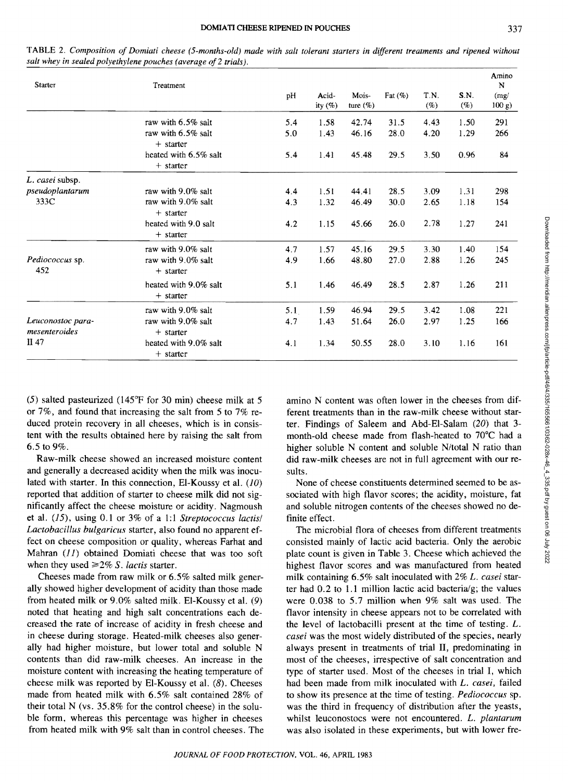TABLE 2. *Composition of Domiati cheese (5-months-old) made with salt tolerant starters in different treatments and ripened without salt whey in sealed polyethylene pouches (average of 2 trials).* 

| Starter                            | Treatment                            | pH  | Acid-<br>ity $(\%)$ | Mois-<br>ture $(\%)$ | Fat $(\%)$ | T.N.<br>(%) | S.N.<br>(%) | Amino<br>N<br>(mg)<br>$100 g$ ) |
|------------------------------------|--------------------------------------|-----|---------------------|----------------------|------------|-------------|-------------|---------------------------------|
|                                    | raw with 6.5% salt                   | 5.4 | 1.58                | 42.74                | 31.5       | 4.43        | 1.50        | 291                             |
|                                    | raw with 6.5% salt<br>$+$ starter    | 5.0 | 1.43                | 46.16                | 28.0       | 4.20        | 1.29        | 266                             |
|                                    | heated with 6.5% salt<br>$+$ starter | 5.4 | 1.41                | 45.48                | 29.5       | 3.50        | 0.96        | 84                              |
| L. casei subsp.                    |                                      |     |                     |                      |            |             |             |                                 |
| pseudoplantarum                    | raw with 9.0% salt                   | 4.4 | 1.51                | 44.41                | 28.5       | 3.09        | 1.31        | 298                             |
| 333C                               | raw with 9.0% salt                   | 4.3 | 1.32                | 46.49                | 30.0       | 2.65        | 1.18        | 154                             |
|                                    | $+$ starter                          |     |                     |                      |            |             |             |                                 |
|                                    | heated with 9.0 salt<br>$+$ starter  | 4.2 | 1.15                | 45.66                | 26.0       | 2.78        | 1.27        | 241                             |
|                                    | raw with 9.0% salt                   | 4.7 | 1.57                | 45.16                | 29.5       | 3.30        | 1.40        | 154                             |
| Pediococcus sp.<br>452             | raw with 9.0% salt<br>$+$ starter    | 4.9 | 1.66                | 48.80                | 27.0       | 2.88        | 1.26        | 245                             |
|                                    | heated with 9.0% salt<br>$+$ starter | 5.1 | 1.46                | 46.49                | 28.5       | 2.87        | 1.26        | 211                             |
|                                    | raw with 9.0% salt                   | 5.1 | 1.59                | 46.94                | 29.5       | 3.42        | 1.08        | 221                             |
| Leuconostoc para-<br>mesenteroides | raw with 9.0% salt<br>$+$ starter    | 4.7 | 1.43                | 51.64                | 26.0       | 2.97        | 1.25        | 166                             |
| II 47                              | heated with 9.0% salt<br>$+$ starter | 4.1 | 1.34                | 50.55                | 28.0       | 3.10        | 1.16        | 161                             |

(5) salted pasteurized (l45"F for 30 min) cheese milk at 5 or 7%, and found that increasing the salt from 5 to 7% reduced protein recovery in all cheeses, which is in consistent with the results obtained here by raising the salt from 6.5 to 9%.

Raw-milk cheese showed an increased moisture content and generally a decreased acidity when the milk was inoculated with starter. In this connection, EI-Koussy et al. (10) reported that addition of starter to cheese milk did not significantly affect the cheese moisture or acidity. Nagmoush et al.  $(15)$ , using 0.1 or 3% of a 1:1 *Streptococcus lactis/ Lactobacillus bulgaricus* starter, also found no apparent effect on cheese composition or quality, whereas Farhat and Mahran  $(II)$  obtained Domiati cheese that was too soft when they used  $\geq 2\% S$ . *lactis* starter.

Cheeses made from raw milk or 6.5% salted milk generally showed higher development of acidity than those made from heated milk or 9.0% salted milk. EI-Koussy et al. (9) noted that heating and high salt concentrations each decreased the rate of increase of acidity in fresh cheese and in cheese during storage. Heated-milk cheeses also generally had higher moisture, but lower total and soluble N contents than did raw-milk cheeses. An increase in the moisture content with increasing the heating temperature of cheese milk was reported by EI-Koussy et al. (8). Cheeses made from heated milk with 6.5% salt contained 28% of their total N (vs. 35.8% for the control cheese) in the soluble form, whereas this percentage was higher in cheeses from heated milk with 9% salt than in control cheeses. The amino N content was often lower in the cheeses from different treatments than in the raw-milk cheese without starter. Findings of Saleem and Abd-EI-Salam (20) that 3 month-old cheese made from flash-heated to 70°C had a higher soluble N content and soluble *N/total* N ratio than did raw-milk cheeses are not in full agreement with our results.

None of cheese constituents determined seemed to be associated with high flavor scores; the acidity, moisture, fat and soluble nitrogen contents of the cheeses showed no definite effect.

The microbial flora of cheeses from different treatments consisted mainly of lactic acid bacteria. Only the aerobic plate count is given in Table 3. Cheese which achieved the highest flavor scores and was manufactured from heated milk containing 6.5% salt inoculated with 2% *L. casei* starter had  $0.2$  to 1.1 million lactic acid bacteria/g; the values were 0.038 to 5.7 million when 9% salt was used. The flavor intensity in cheese appears not to be correlated with the level of lactobacilli present at the time of testing. *L. casei* was the most widely distributed of the species, nearly always present in treatments of trial **II,** predominating in most of the cheeses, irrespective of salt concentration and type of starter used. Most of the cheeses in trial I, which had been made from milk inoculated with *L. casei,* failed to show its presence at the time of testing. *Pediococcus* sp. was the third in frequency of distribution after the yeasts, whilst leuconostocs were not encountered. *L. plantarum*  was also isolated in these experiments, but with lower fre-